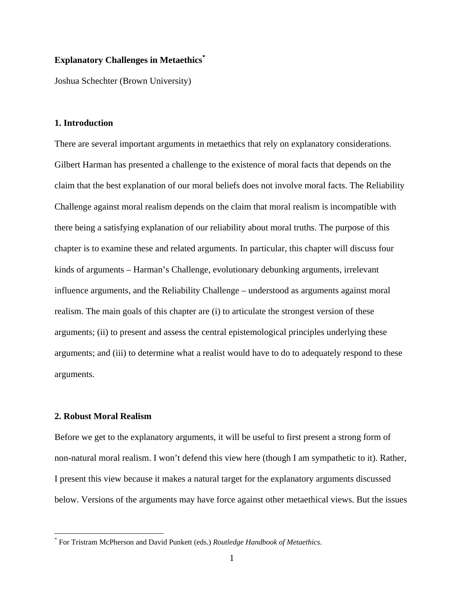# **Explanatory Challenges in Metaethics\***

Joshua Schechter (Brown University)

# **1. Introduction**

There are several important arguments in metaethics that rely on explanatory considerations. Gilbert Harman has presented a challenge to the existence of moral facts that depends on the claim that the best explanation of our moral beliefs does not involve moral facts. The Reliability Challenge against moral realism depends on the claim that moral realism is incompatible with there being a satisfying explanation of our reliability about moral truths. The purpose of this chapter is to examine these and related arguments. In particular, this chapter will discuss four kinds of arguments – Harman's Challenge, evolutionary debunking arguments, irrelevant influence arguments, and the Reliability Challenge – understood as arguments against moral realism. The main goals of this chapter are (i) to articulate the strongest version of these arguments; (ii) to present and assess the central epistemological principles underlying these arguments; and (iii) to determine what a realist would have to do to adequately respond to these arguments.

### **2. Robust Moral Realism**

Before we get to the explanatory arguments, it will be useful to first present a strong form of non-natural moral realism. I won't defend this view here (though I am sympathetic to it). Rather, I present this view because it makes a natural target for the explanatory arguments discussed below. Versions of the arguments may have force against other metaethical views. But the issues

<sup>\*</sup> For Tristram McPherson and David Punkett (eds.) *Routledge Handbook of Metaethics*.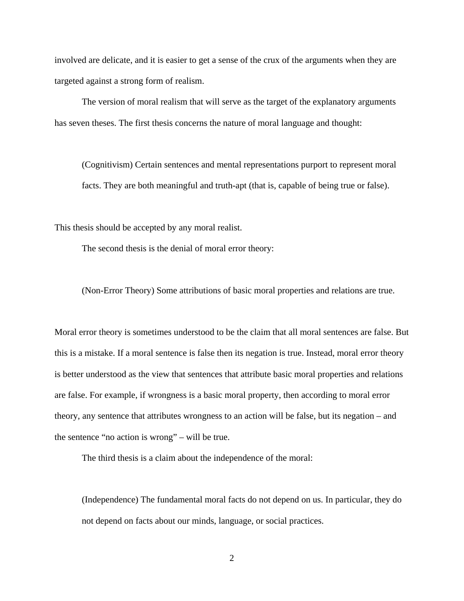involved are delicate, and it is easier to get a sense of the crux of the arguments when they are targeted against a strong form of realism.

 The version of moral realism that will serve as the target of the explanatory arguments has seven theses. The first thesis concerns the nature of moral language and thought:

(Cognitivism) Certain sentences and mental representations purport to represent moral facts. They are both meaningful and truth-apt (that is, capable of being true or false).

This thesis should be accepted by any moral realist.

The second thesis is the denial of moral error theory:

(Non-Error Theory) Some attributions of basic moral properties and relations are true.

Moral error theory is sometimes understood to be the claim that all moral sentences are false. But this is a mistake. If a moral sentence is false then its negation is true. Instead, moral error theory is better understood as the view that sentences that attribute basic moral properties and relations are false. For example, if wrongness is a basic moral property, then according to moral error theory, any sentence that attributes wrongness to an action will be false, but its negation – and the sentence "no action is wrong" – will be true.

The third thesis is a claim about the independence of the moral:

(Independence) The fundamental moral facts do not depend on us. In particular, they do not depend on facts about our minds, language, or social practices.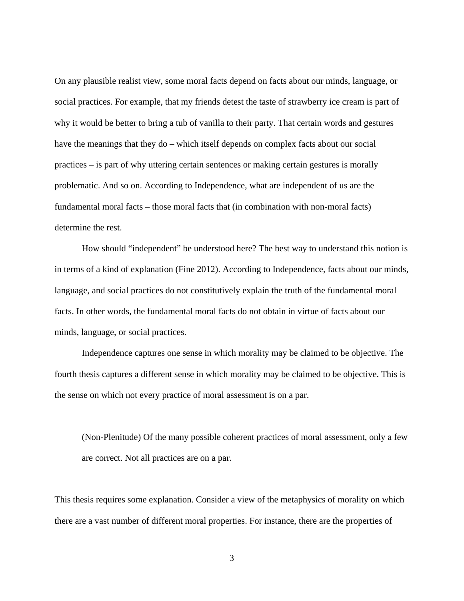On any plausible realist view, some moral facts depend on facts about our minds, language, or social practices. For example, that my friends detest the taste of strawberry ice cream is part of why it would be better to bring a tub of vanilla to their party. That certain words and gestures have the meanings that they do – which itself depends on complex facts about our social practices – is part of why uttering certain sentences or making certain gestures is morally problematic. And so on. According to Independence, what are independent of us are the fundamental moral facts – those moral facts that (in combination with non-moral facts) determine the rest.

 How should "independent" be understood here? The best way to understand this notion is in terms of a kind of explanation (Fine 2012). According to Independence, facts about our minds, language, and social practices do not constitutively explain the truth of the fundamental moral facts. In other words, the fundamental moral facts do not obtain in virtue of facts about our minds, language, or social practices.

 Independence captures one sense in which morality may be claimed to be objective. The fourth thesis captures a different sense in which morality may be claimed to be objective. This is the sense on which not every practice of moral assessment is on a par.

(Non-Plenitude) Of the many possible coherent practices of moral assessment, only a few are correct. Not all practices are on a par.

This thesis requires some explanation. Consider a view of the metaphysics of morality on which there are a vast number of different moral properties. For instance, there are the properties of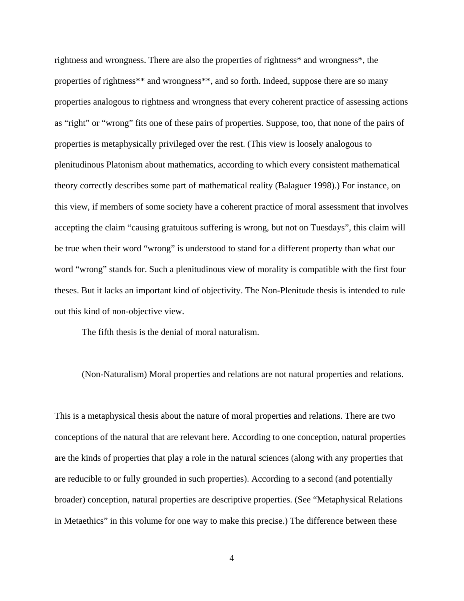rightness and wrongness. There are also the properties of rightness\* and wrongness\*, the properties of rightness\*\* and wrongness\*\*, and so forth. Indeed, suppose there are so many properties analogous to rightness and wrongness that every coherent practice of assessing actions as "right" or "wrong" fits one of these pairs of properties. Suppose, too, that none of the pairs of properties is metaphysically privileged over the rest. (This view is loosely analogous to plenitudinous Platonism about mathematics, according to which every consistent mathematical theory correctly describes some part of mathematical reality (Balaguer 1998).) For instance, on this view, if members of some society have a coherent practice of moral assessment that involves accepting the claim "causing gratuitous suffering is wrong, but not on Tuesdays", this claim will be true when their word "wrong" is understood to stand for a different property than what our word "wrong" stands for. Such a plenitudinous view of morality is compatible with the first four theses. But it lacks an important kind of objectivity. The Non-Plenitude thesis is intended to rule out this kind of non-objective view.

The fifth thesis is the denial of moral naturalism.

(Non-Naturalism) Moral properties and relations are not natural properties and relations.

This is a metaphysical thesis about the nature of moral properties and relations. There are two conceptions of the natural that are relevant here. According to one conception, natural properties are the kinds of properties that play a role in the natural sciences (along with any properties that are reducible to or fully grounded in such properties). According to a second (and potentially broader) conception, natural properties are descriptive properties. (See "Metaphysical Relations in Metaethics" in this volume for one way to make this precise.) The difference between these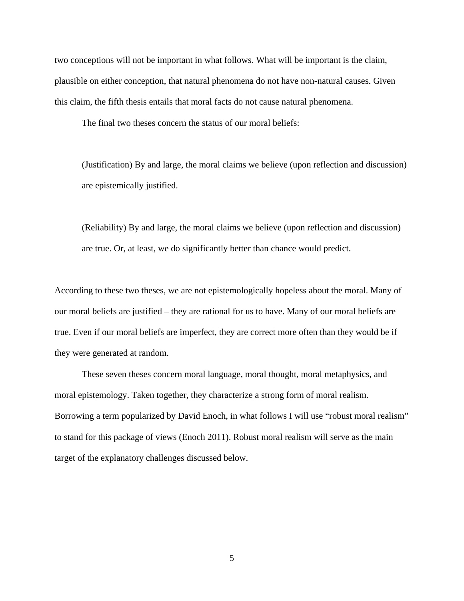two conceptions will not be important in what follows. What will be important is the claim, plausible on either conception, that natural phenomena do not have non-natural causes. Given this claim, the fifth thesis entails that moral facts do not cause natural phenomena.

The final two theses concern the status of our moral beliefs:

(Justification) By and large, the moral claims we believe (upon reflection and discussion) are epistemically justified.

(Reliability) By and large, the moral claims we believe (upon reflection and discussion) are true. Or, at least, we do significantly better than chance would predict.

According to these two theses, we are not epistemologically hopeless about the moral. Many of our moral beliefs are justified – they are rational for us to have. Many of our moral beliefs are true. Even if our moral beliefs are imperfect, they are correct more often than they would be if they were generated at random.

 These seven theses concern moral language, moral thought, moral metaphysics, and moral epistemology. Taken together, they characterize a strong form of moral realism. Borrowing a term popularized by David Enoch, in what follows I will use "robust moral realism" to stand for this package of views (Enoch 2011). Robust moral realism will serve as the main target of the explanatory challenges discussed below.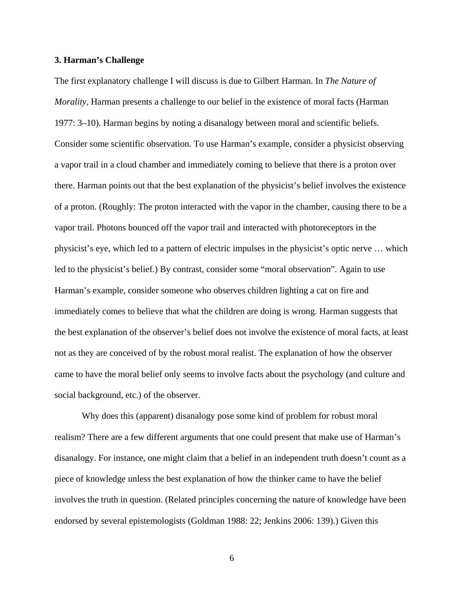### **3. Harman's Challenge**

The first explanatory challenge I will discuss is due to Gilbert Harman. In *The Nature of Morality,* Harman presents a challenge to our belief in the existence of moral facts (Harman 1977: 3–10). Harman begins by noting a disanalogy between moral and scientific beliefs. Consider some scientific observation. To use Harman's example, consider a physicist observing a vapor trail in a cloud chamber and immediately coming to believe that there is a proton over there. Harman points out that the best explanation of the physicist's belief involves the existence of a proton. (Roughly: The proton interacted with the vapor in the chamber, causing there to be a vapor trail. Photons bounced off the vapor trail and interacted with photoreceptors in the physicist's eye, which led to a pattern of electric impulses in the physicist's optic nerve … which led to the physicist's belief.) By contrast, consider some "moral observation". Again to use Harman's example, consider someone who observes children lighting a cat on fire and immediately comes to believe that what the children are doing is wrong. Harman suggests that the best explanation of the observer's belief does not involve the existence of moral facts, at least not as they are conceived of by the robust moral realist. The explanation of how the observer came to have the moral belief only seems to involve facts about the psychology (and culture and social background, etc.) of the observer.

Why does this (apparent) disanalogy pose some kind of problem for robust moral realism? There are a few different arguments that one could present that make use of Harman's disanalogy. For instance, one might claim that a belief in an independent truth doesn't count as a piece of knowledge unless the best explanation of how the thinker came to have the belief involves the truth in question. (Related principles concerning the nature of knowledge have been endorsed by several epistemologists (Goldman 1988: 22; Jenkins 2006: 139).) Given this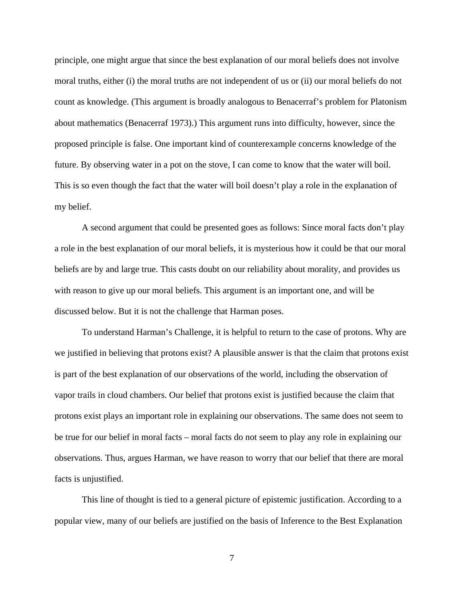principle, one might argue that since the best explanation of our moral beliefs does not involve moral truths, either (i) the moral truths are not independent of us or (ii) our moral beliefs do not count as knowledge. (This argument is broadly analogous to Benacerraf's problem for Platonism about mathematics (Benacerraf 1973).) This argument runs into difficulty, however, since the proposed principle is false. One important kind of counterexample concerns knowledge of the future. By observing water in a pot on the stove, I can come to know that the water will boil. This is so even though the fact that the water will boil doesn't play a role in the explanation of my belief.

A second argument that could be presented goes as follows: Since moral facts don't play a role in the best explanation of our moral beliefs, it is mysterious how it could be that our moral beliefs are by and large true. This casts doubt on our reliability about morality, and provides us with reason to give up our moral beliefs. This argument is an important one, and will be discussed below. But it is not the challenge that Harman poses.

To understand Harman's Challenge, it is helpful to return to the case of protons. Why are we justified in believing that protons exist? A plausible answer is that the claim that protons exist is part of the best explanation of our observations of the world, including the observation of vapor trails in cloud chambers. Our belief that protons exist is justified because the claim that protons exist plays an important role in explaining our observations. The same does not seem to be true for our belief in moral facts – moral facts do not seem to play any role in explaining our observations. Thus, argues Harman, we have reason to worry that our belief that there are moral facts is unjustified.

This line of thought is tied to a general picture of epistemic justification. According to a popular view, many of our beliefs are justified on the basis of Inference to the Best Explanation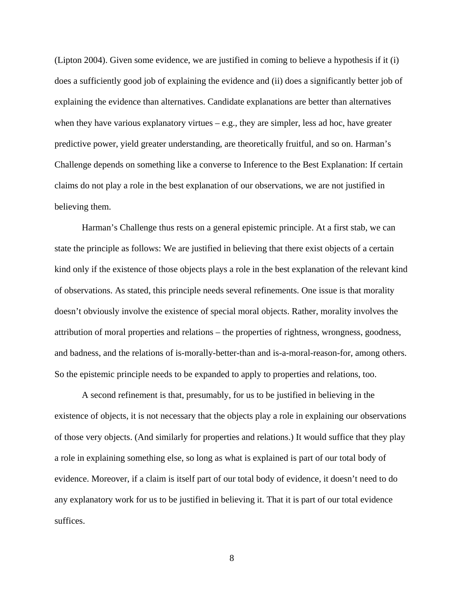(Lipton 2004). Given some evidence, we are justified in coming to believe a hypothesis if it (i) does a sufficiently good job of explaining the evidence and (ii) does a significantly better job of explaining the evidence than alternatives. Candidate explanations are better than alternatives when they have various explanatory virtues  $-e.g.,$  they are simpler, less ad hoc, have greater predictive power, yield greater understanding, are theoretically fruitful, and so on. Harman's Challenge depends on something like a converse to Inference to the Best Explanation: If certain claims do not play a role in the best explanation of our observations, we are not justified in believing them.

Harman's Challenge thus rests on a general epistemic principle. At a first stab, we can state the principle as follows: We are justified in believing that there exist objects of a certain kind only if the existence of those objects plays a role in the best explanation of the relevant kind of observations. As stated, this principle needs several refinements. One issue is that morality doesn't obviously involve the existence of special moral objects. Rather, morality involves the attribution of moral properties and relations – the properties of rightness, wrongness, goodness, and badness, and the relations of is-morally-better-than and is-a-moral-reason-for, among others. So the epistemic principle needs to be expanded to apply to properties and relations, too.

A second refinement is that, presumably, for us to be justified in believing in the existence of objects, it is not necessary that the objects play a role in explaining our observations of those very objects. (And similarly for properties and relations.) It would suffice that they play a role in explaining something else, so long as what is explained is part of our total body of evidence. Moreover, if a claim is itself part of our total body of evidence, it doesn't need to do any explanatory work for us to be justified in believing it. That it is part of our total evidence suffices.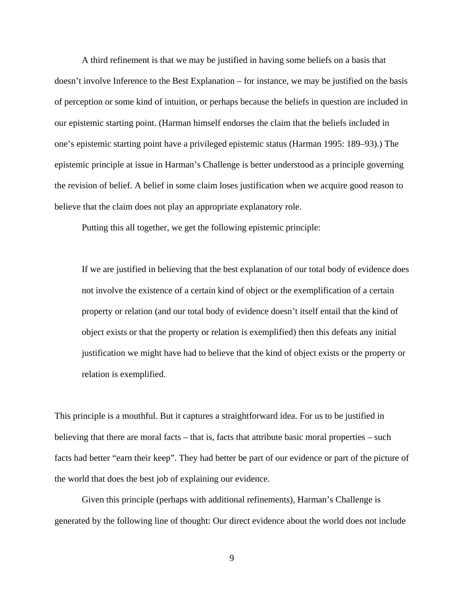A third refinement is that we may be justified in having some beliefs on a basis that doesn't involve Inference to the Best Explanation – for instance, we may be justified on the basis of perception or some kind of intuition, or perhaps because the beliefs in question are included in our epistemic starting point. (Harman himself endorses the claim that the beliefs included in one's epistemic starting point have a privileged epistemic status (Harman 1995: 189–93).) The epistemic principle at issue in Harman's Challenge is better understood as a principle governing the revision of belief. A belief in some claim loses justification when we acquire good reason to believe that the claim does not play an appropriate explanatory role.

Putting this all together, we get the following epistemic principle:

If we are justified in believing that the best explanation of our total body of evidence does not involve the existence of a certain kind of object or the exemplification of a certain property or relation (and our total body of evidence doesn't itself entail that the kind of object exists or that the property or relation is exemplified) then this defeats any initial justification we might have had to believe that the kind of object exists or the property or relation is exemplified.

This principle is a mouthful. But it captures a straightforward idea. For us to be justified in believing that there are moral facts – that is, facts that attribute basic moral properties – such facts had better "earn their keep". They had better be part of our evidence or part of the picture of the world that does the best job of explaining our evidence.

Given this principle (perhaps with additional refinements), Harman's Challenge is generated by the following line of thought: Our direct evidence about the world does not include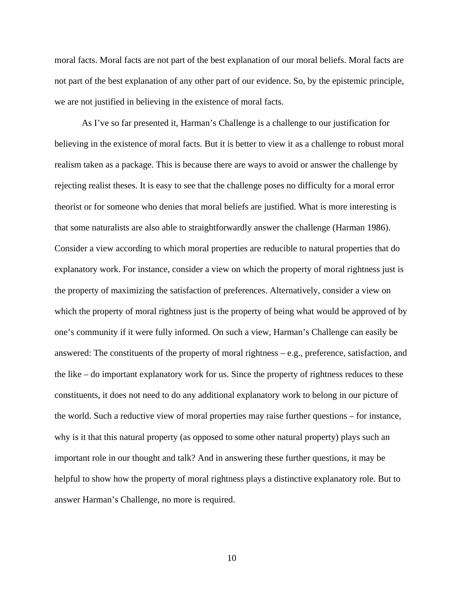moral facts. Moral facts are not part of the best explanation of our moral beliefs. Moral facts are not part of the best explanation of any other part of our evidence. So, by the epistemic principle, we are not justified in believing in the existence of moral facts.

As I've so far presented it, Harman's Challenge is a challenge to our justification for believing in the existence of moral facts. But it is better to view it as a challenge to robust moral realism taken as a package. This is because there are ways to avoid or answer the challenge by rejecting realist theses. It is easy to see that the challenge poses no difficulty for a moral error theorist or for someone who denies that moral beliefs are justified. What is more interesting is that some naturalists are also able to straightforwardly answer the challenge (Harman 1986). Consider a view according to which moral properties are reducible to natural properties that do explanatory work. For instance, consider a view on which the property of moral rightness just is the property of maximizing the satisfaction of preferences. Alternatively, consider a view on which the property of moral rightness just is the property of being what would be approved of by one's community if it were fully informed. On such a view, Harman's Challenge can easily be answered: The constituents of the property of moral rightness – e.g., preference, satisfaction, and the like – do important explanatory work for us. Since the property of rightness reduces to these constituents, it does not need to do any additional explanatory work to belong in our picture of the world. Such a reductive view of moral properties may raise further questions – for instance, why is it that this natural property (as opposed to some other natural property) plays such an important role in our thought and talk? And in answering these further questions, it may be helpful to show how the property of moral rightness plays a distinctive explanatory role. But to answer Harman's Challenge, no more is required.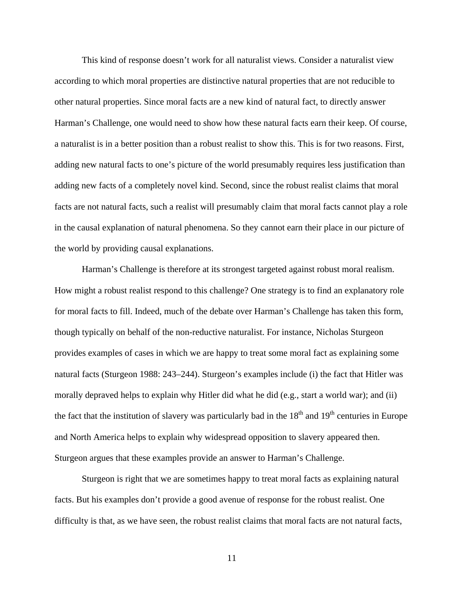This kind of response doesn't work for all naturalist views. Consider a naturalist view according to which moral properties are distinctive natural properties that are not reducible to other natural properties. Since moral facts are a new kind of natural fact, to directly answer Harman's Challenge, one would need to show how these natural facts earn their keep. Of course, a naturalist is in a better position than a robust realist to show this. This is for two reasons. First, adding new natural facts to one's picture of the world presumably requires less justification than adding new facts of a completely novel kind. Second, since the robust realist claims that moral facts are not natural facts, such a realist will presumably claim that moral facts cannot play a role in the causal explanation of natural phenomena. So they cannot earn their place in our picture of the world by providing causal explanations.

Harman's Challenge is therefore at its strongest targeted against robust moral realism. How might a robust realist respond to this challenge? One strategy is to find an explanatory role for moral facts to fill. Indeed, much of the debate over Harman's Challenge has taken this form, though typically on behalf of the non-reductive naturalist. For instance, Nicholas Sturgeon provides examples of cases in which we are happy to treat some moral fact as explaining some natural facts (Sturgeon 1988: 243–244). Sturgeon's examples include (i) the fact that Hitler was morally depraved helps to explain why Hitler did what he did (e.g., start a world war); and (ii) the fact that the institution of slavery was particularly bad in the  $18<sup>th</sup>$  and  $19<sup>th</sup>$  centuries in Europe and North America helps to explain why widespread opposition to slavery appeared then. Sturgeon argues that these examples provide an answer to Harman's Challenge.

Sturgeon is right that we are sometimes happy to treat moral facts as explaining natural facts. But his examples don't provide a good avenue of response for the robust realist. One difficulty is that, as we have seen, the robust realist claims that moral facts are not natural facts,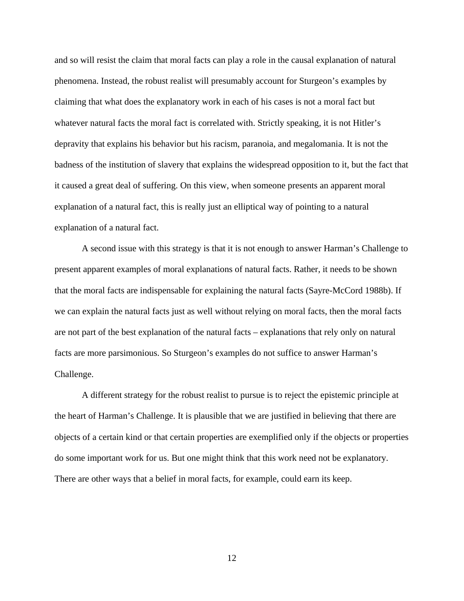and so will resist the claim that moral facts can play a role in the causal explanation of natural phenomena. Instead, the robust realist will presumably account for Sturgeon's examples by claiming that what does the explanatory work in each of his cases is not a moral fact but whatever natural facts the moral fact is correlated with. Strictly speaking, it is not Hitler's depravity that explains his behavior but his racism, paranoia, and megalomania. It is not the badness of the institution of slavery that explains the widespread opposition to it, but the fact that it caused a great deal of suffering. On this view, when someone presents an apparent moral explanation of a natural fact, this is really just an elliptical way of pointing to a natural explanation of a natural fact.

A second issue with this strategy is that it is not enough to answer Harman's Challenge to present apparent examples of moral explanations of natural facts. Rather, it needs to be shown that the moral facts are indispensable for explaining the natural facts (Sayre-McCord 1988b). If we can explain the natural facts just as well without relying on moral facts, then the moral facts are not part of the best explanation of the natural facts – explanations that rely only on natural facts are more parsimonious. So Sturgeon's examples do not suffice to answer Harman's Challenge.

A different strategy for the robust realist to pursue is to reject the epistemic principle at the heart of Harman's Challenge. It is plausible that we are justified in believing that there are objects of a certain kind or that certain properties are exemplified only if the objects or properties do some important work for us. But one might think that this work need not be explanatory. There are other ways that a belief in moral facts, for example, could earn its keep.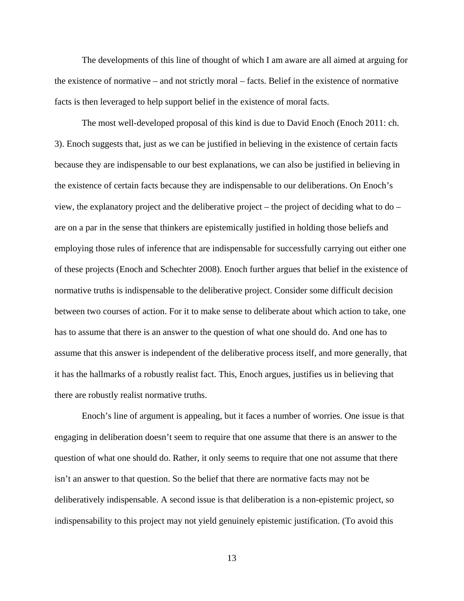The developments of this line of thought of which I am aware are all aimed at arguing for the existence of normative – and not strictly moral – facts. Belief in the existence of normative facts is then leveraged to help support belief in the existence of moral facts.

The most well-developed proposal of this kind is due to David Enoch (Enoch 2011: ch. 3). Enoch suggests that, just as we can be justified in believing in the existence of certain facts because they are indispensable to our best explanations, we can also be justified in believing in the existence of certain facts because they are indispensable to our deliberations. On Enoch's view, the explanatory project and the deliberative project – the project of deciding what to do – are on a par in the sense that thinkers are epistemically justified in holding those beliefs and employing those rules of inference that are indispensable for successfully carrying out either one of these projects (Enoch and Schechter 2008). Enoch further argues that belief in the existence of normative truths is indispensable to the deliberative project. Consider some difficult decision between two courses of action. For it to make sense to deliberate about which action to take, one has to assume that there is an answer to the question of what one should do. And one has to assume that this answer is independent of the deliberative process itself, and more generally, that it has the hallmarks of a robustly realist fact. This, Enoch argues, justifies us in believing that there are robustly realist normative truths.

Enoch's line of argument is appealing, but it faces a number of worries. One issue is that engaging in deliberation doesn't seem to require that one assume that there is an answer to the question of what one should do. Rather, it only seems to require that one not assume that there isn't an answer to that question. So the belief that there are normative facts may not be deliberatively indispensable. A second issue is that deliberation is a non-epistemic project, so indispensability to this project may not yield genuinely epistemic justification. (To avoid this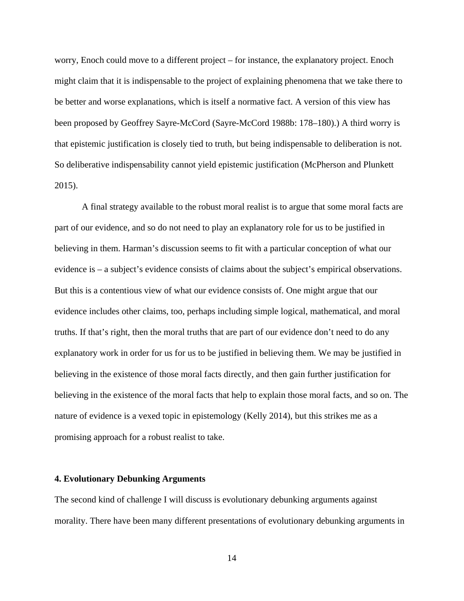worry, Enoch could move to a different project – for instance, the explanatory project. Enoch might claim that it is indispensable to the project of explaining phenomena that we take there to be better and worse explanations, which is itself a normative fact. A version of this view has been proposed by Geoffrey Sayre-McCord (Sayre-McCord 1988b: 178–180).) A third worry is that epistemic justification is closely tied to truth, but being indispensable to deliberation is not. So deliberative indispensability cannot yield epistemic justification (McPherson and Plunkett 2015).

A final strategy available to the robust moral realist is to argue that some moral facts are part of our evidence, and so do not need to play an explanatory role for us to be justified in believing in them. Harman's discussion seems to fit with a particular conception of what our evidence is – a subject's evidence consists of claims about the subject's empirical observations. But this is a contentious view of what our evidence consists of. One might argue that our evidence includes other claims, too, perhaps including simple logical, mathematical, and moral truths. If that's right, then the moral truths that are part of our evidence don't need to do any explanatory work in order for us for us to be justified in believing them. We may be justified in believing in the existence of those moral facts directly, and then gain further justification for believing in the existence of the moral facts that help to explain those moral facts, and so on. The nature of evidence is a vexed topic in epistemology (Kelly 2014), but this strikes me as a promising approach for a robust realist to take.

### **4. Evolutionary Debunking Arguments**

The second kind of challenge I will discuss is evolutionary debunking arguments against morality. There have been many different presentations of evolutionary debunking arguments in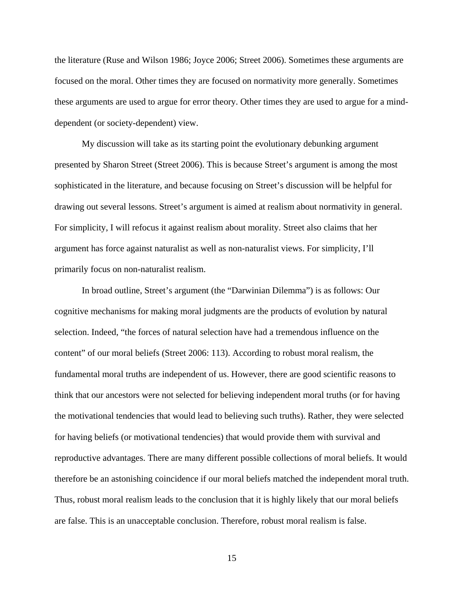the literature (Ruse and Wilson 1986; Joyce 2006; Street 2006). Sometimes these arguments are focused on the moral. Other times they are focused on normativity more generally. Sometimes these arguments are used to argue for error theory. Other times they are used to argue for a minddependent (or society-dependent) view.

My discussion will take as its starting point the evolutionary debunking argument presented by Sharon Street (Street 2006). This is because Street's argument is among the most sophisticated in the literature, and because focusing on Street's discussion will be helpful for drawing out several lessons. Street's argument is aimed at realism about normativity in general. For simplicity, I will refocus it against realism about morality. Street also claims that her argument has force against naturalist as well as non-naturalist views. For simplicity, I'll primarily focus on non-naturalist realism.

In broad outline, Street's argument (the "Darwinian Dilemma") is as follows: Our cognitive mechanisms for making moral judgments are the products of evolution by natural selection. Indeed, "the forces of natural selection have had a tremendous influence on the content" of our moral beliefs (Street 2006: 113). According to robust moral realism, the fundamental moral truths are independent of us. However, there are good scientific reasons to think that our ancestors were not selected for believing independent moral truths (or for having the motivational tendencies that would lead to believing such truths). Rather, they were selected for having beliefs (or motivational tendencies) that would provide them with survival and reproductive advantages. There are many different possible collections of moral beliefs. It would therefore be an astonishing coincidence if our moral beliefs matched the independent moral truth. Thus, robust moral realism leads to the conclusion that it is highly likely that our moral beliefs are false. This is an unacceptable conclusion. Therefore, robust moral realism is false.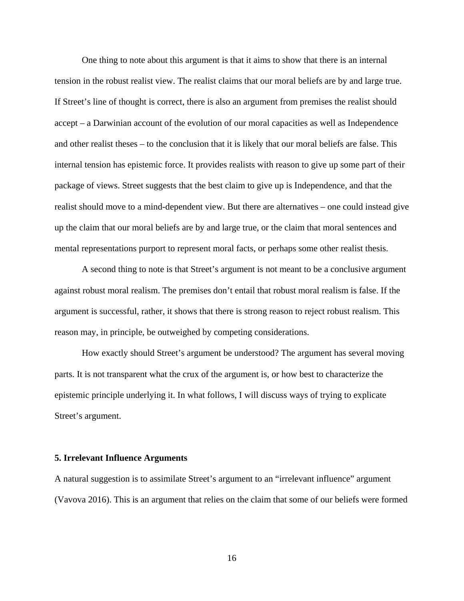One thing to note about this argument is that it aims to show that there is an internal tension in the robust realist view. The realist claims that our moral beliefs are by and large true. If Street's line of thought is correct, there is also an argument from premises the realist should accept – a Darwinian account of the evolution of our moral capacities as well as Independence and other realist theses – to the conclusion that it is likely that our moral beliefs are false. This internal tension has epistemic force. It provides realists with reason to give up some part of their package of views. Street suggests that the best claim to give up is Independence, and that the realist should move to a mind-dependent view. But there are alternatives – one could instead give up the claim that our moral beliefs are by and large true, or the claim that moral sentences and mental representations purport to represent moral facts, or perhaps some other realist thesis.

A second thing to note is that Street's argument is not meant to be a conclusive argument against robust moral realism. The premises don't entail that robust moral realism is false. If the argument is successful, rather, it shows that there is strong reason to reject robust realism. This reason may, in principle, be outweighed by competing considerations.

How exactly should Street's argument be understood? The argument has several moving parts. It is not transparent what the crux of the argument is, or how best to characterize the epistemic principle underlying it. In what follows, I will discuss ways of trying to explicate Street's argument.

#### **5. Irrelevant Influence Arguments**

A natural suggestion is to assimilate Street's argument to an "irrelevant influence" argument (Vavova 2016). This is an argument that relies on the claim that some of our beliefs were formed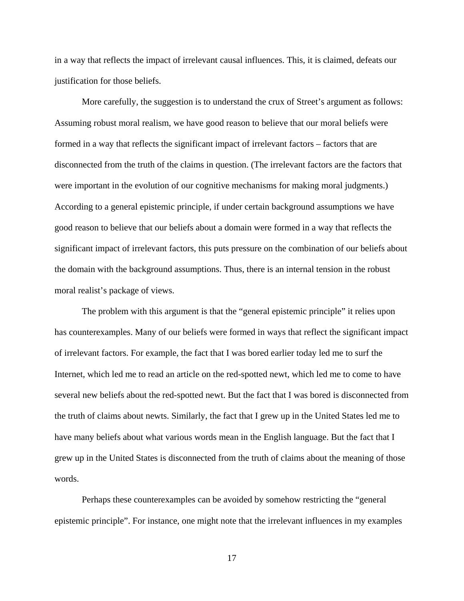in a way that reflects the impact of irrelevant causal influences. This, it is claimed, defeats our justification for those beliefs.

More carefully, the suggestion is to understand the crux of Street's argument as follows: Assuming robust moral realism, we have good reason to believe that our moral beliefs were formed in a way that reflects the significant impact of irrelevant factors – factors that are disconnected from the truth of the claims in question. (The irrelevant factors are the factors that were important in the evolution of our cognitive mechanisms for making moral judgments.) According to a general epistemic principle, if under certain background assumptions we have good reason to believe that our beliefs about a domain were formed in a way that reflects the significant impact of irrelevant factors, this puts pressure on the combination of our beliefs about the domain with the background assumptions. Thus, there is an internal tension in the robust moral realist's package of views.

The problem with this argument is that the "general epistemic principle" it relies upon has counterexamples. Many of our beliefs were formed in ways that reflect the significant impact of irrelevant factors. For example, the fact that I was bored earlier today led me to surf the Internet, which led me to read an article on the red-spotted newt, which led me to come to have several new beliefs about the red-spotted newt. But the fact that I was bored is disconnected from the truth of claims about newts. Similarly, the fact that I grew up in the United States led me to have many beliefs about what various words mean in the English language. But the fact that I grew up in the United States is disconnected from the truth of claims about the meaning of those words.

Perhaps these counterexamples can be avoided by somehow restricting the "general epistemic principle". For instance, one might note that the irrelevant influences in my examples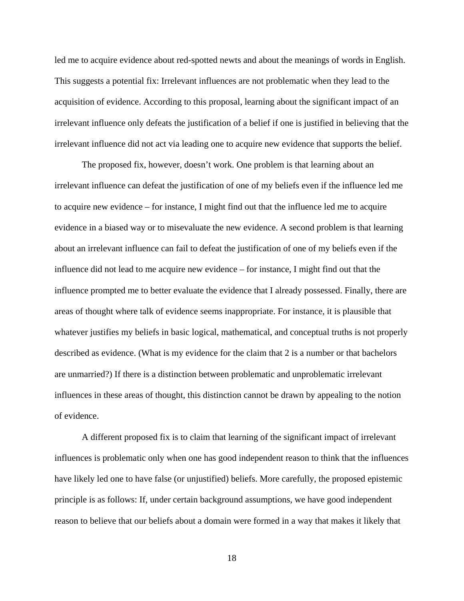led me to acquire evidence about red-spotted newts and about the meanings of words in English. This suggests a potential fix: Irrelevant influences are not problematic when they lead to the acquisition of evidence. According to this proposal, learning about the significant impact of an irrelevant influence only defeats the justification of a belief if one is justified in believing that the irrelevant influence did not act via leading one to acquire new evidence that supports the belief.

The proposed fix, however, doesn't work. One problem is that learning about an irrelevant influence can defeat the justification of one of my beliefs even if the influence led me to acquire new evidence – for instance, I might find out that the influence led me to acquire evidence in a biased way or to misevaluate the new evidence. A second problem is that learning about an irrelevant influence can fail to defeat the justification of one of my beliefs even if the influence did not lead to me acquire new evidence – for instance, I might find out that the influence prompted me to better evaluate the evidence that I already possessed. Finally, there are areas of thought where talk of evidence seems inappropriate. For instance, it is plausible that whatever justifies my beliefs in basic logical, mathematical, and conceptual truths is not properly described as evidence. (What is my evidence for the claim that 2 is a number or that bachelors are unmarried?) If there is a distinction between problematic and unproblematic irrelevant influences in these areas of thought, this distinction cannot be drawn by appealing to the notion of evidence.

A different proposed fix is to claim that learning of the significant impact of irrelevant influences is problematic only when one has good independent reason to think that the influences have likely led one to have false (or unjustified) beliefs. More carefully, the proposed epistemic principle is as follows: If, under certain background assumptions, we have good independent reason to believe that our beliefs about a domain were formed in a way that makes it likely that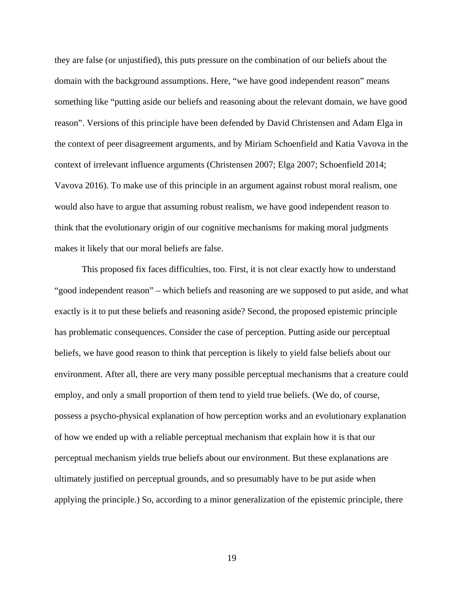they are false (or unjustified), this puts pressure on the combination of our beliefs about the domain with the background assumptions. Here, "we have good independent reason" means something like "putting aside our beliefs and reasoning about the relevant domain, we have good reason". Versions of this principle have been defended by David Christensen and Adam Elga in the context of peer disagreement arguments, and by Miriam Schoenfield and Katia Vavova in the context of irrelevant influence arguments (Christensen 2007; Elga 2007; Schoenfield 2014; Vavova 2016). To make use of this principle in an argument against robust moral realism, one would also have to argue that assuming robust realism, we have good independent reason to think that the evolutionary origin of our cognitive mechanisms for making moral judgments makes it likely that our moral beliefs are false.

This proposed fix faces difficulties, too. First, it is not clear exactly how to understand "good independent reason" – which beliefs and reasoning are we supposed to put aside, and what exactly is it to put these beliefs and reasoning aside? Second, the proposed epistemic principle has problematic consequences. Consider the case of perception. Putting aside our perceptual beliefs, we have good reason to think that perception is likely to yield false beliefs about our environment. After all, there are very many possible perceptual mechanisms that a creature could employ, and only a small proportion of them tend to yield true beliefs. (We do, of course, possess a psycho-physical explanation of how perception works and an evolutionary explanation of how we ended up with a reliable perceptual mechanism that explain how it is that our perceptual mechanism yields true beliefs about our environment. But these explanations are ultimately justified on perceptual grounds, and so presumably have to be put aside when applying the principle.) So, according to a minor generalization of the epistemic principle, there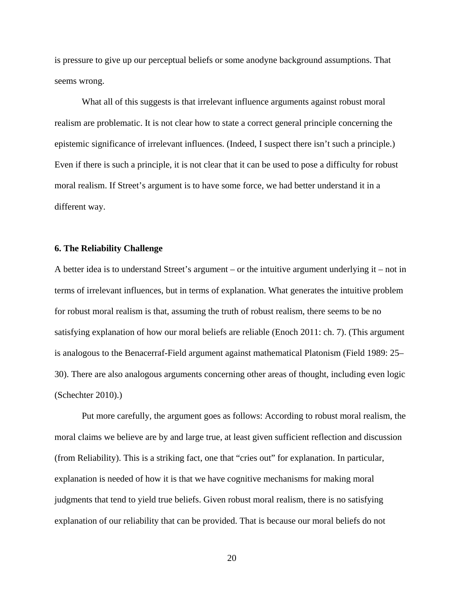is pressure to give up our perceptual beliefs or some anodyne background assumptions. That seems wrong.

What all of this suggests is that irrelevant influence arguments against robust moral realism are problematic. It is not clear how to state a correct general principle concerning the epistemic significance of irrelevant influences. (Indeed, I suspect there isn't such a principle.) Even if there is such a principle, it is not clear that it can be used to pose a difficulty for robust moral realism. If Street's argument is to have some force, we had better understand it in a different way.

#### **6. The Reliability Challenge**

A better idea is to understand Street's argument – or the intuitive argument underlying it – not in terms of irrelevant influences, but in terms of explanation. What generates the intuitive problem for robust moral realism is that, assuming the truth of robust realism, there seems to be no satisfying explanation of how our moral beliefs are reliable (Enoch 2011: ch. 7). (This argument is analogous to the Benacerraf-Field argument against mathematical Platonism (Field 1989: 25– 30). There are also analogous arguments concerning other areas of thought, including even logic (Schechter 2010).)

Put more carefully, the argument goes as follows: According to robust moral realism, the moral claims we believe are by and large true, at least given sufficient reflection and discussion (from Reliability). This is a striking fact, one that "cries out" for explanation. In particular, explanation is needed of how it is that we have cognitive mechanisms for making moral judgments that tend to yield true beliefs. Given robust moral realism, there is no satisfying explanation of our reliability that can be provided. That is because our moral beliefs do not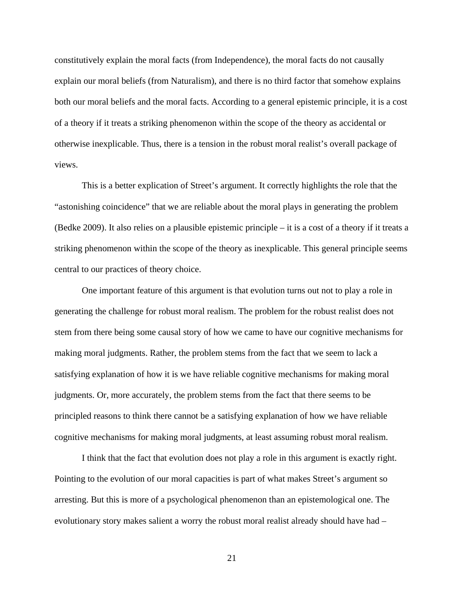constitutively explain the moral facts (from Independence), the moral facts do not causally explain our moral beliefs (from Naturalism), and there is no third factor that somehow explains both our moral beliefs and the moral facts. According to a general epistemic principle, it is a cost of a theory if it treats a striking phenomenon within the scope of the theory as accidental or otherwise inexplicable. Thus, there is a tension in the robust moral realist's overall package of views.

This is a better explication of Street's argument. It correctly highlights the role that the "astonishing coincidence" that we are reliable about the moral plays in generating the problem (Bedke 2009). It also relies on a plausible epistemic principle – it is a cost of a theory if it treats a striking phenomenon within the scope of the theory as inexplicable. This general principle seems central to our practices of theory choice.

One important feature of this argument is that evolution turns out not to play a role in generating the challenge for robust moral realism. The problem for the robust realist does not stem from there being some causal story of how we came to have our cognitive mechanisms for making moral judgments. Rather, the problem stems from the fact that we seem to lack a satisfying explanation of how it is we have reliable cognitive mechanisms for making moral judgments. Or, more accurately, the problem stems from the fact that there seems to be principled reasons to think there cannot be a satisfying explanation of how we have reliable cognitive mechanisms for making moral judgments, at least assuming robust moral realism.

I think that the fact that evolution does not play a role in this argument is exactly right. Pointing to the evolution of our moral capacities is part of what makes Street's argument so arresting. But this is more of a psychological phenomenon than an epistemological one. The evolutionary story makes salient a worry the robust moral realist already should have had –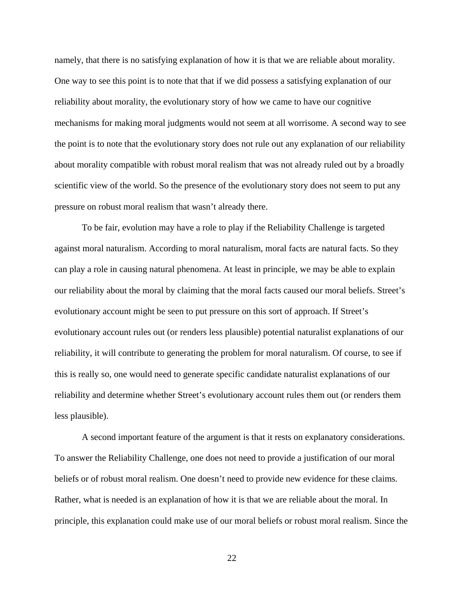namely, that there is no satisfying explanation of how it is that we are reliable about morality. One way to see this point is to note that that if we did possess a satisfying explanation of our reliability about morality, the evolutionary story of how we came to have our cognitive mechanisms for making moral judgments would not seem at all worrisome. A second way to see the point is to note that the evolutionary story does not rule out any explanation of our reliability about morality compatible with robust moral realism that was not already ruled out by a broadly scientific view of the world. So the presence of the evolutionary story does not seem to put any pressure on robust moral realism that wasn't already there.

To be fair, evolution may have a role to play if the Reliability Challenge is targeted against moral naturalism. According to moral naturalism, moral facts are natural facts. So they can play a role in causing natural phenomena. At least in principle, we may be able to explain our reliability about the moral by claiming that the moral facts caused our moral beliefs. Street's evolutionary account might be seen to put pressure on this sort of approach. If Street's evolutionary account rules out (or renders less plausible) potential naturalist explanations of our reliability, it will contribute to generating the problem for moral naturalism. Of course, to see if this is really so, one would need to generate specific candidate naturalist explanations of our reliability and determine whether Street's evolutionary account rules them out (or renders them less plausible).

A second important feature of the argument is that it rests on explanatory considerations. To answer the Reliability Challenge, one does not need to provide a justification of our moral beliefs or of robust moral realism. One doesn't need to provide new evidence for these claims. Rather, what is needed is an explanation of how it is that we are reliable about the moral. In principle, this explanation could make use of our moral beliefs or robust moral realism. Since the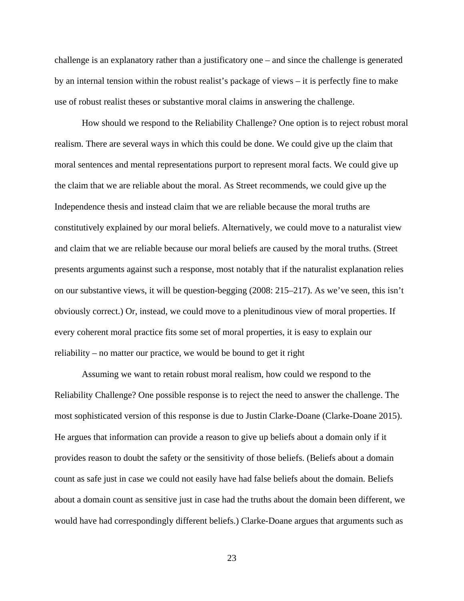challenge is an explanatory rather than a justificatory one – and since the challenge is generated by an internal tension within the robust realist's package of views – it is perfectly fine to make use of robust realist theses or substantive moral claims in answering the challenge.

How should we respond to the Reliability Challenge? One option is to reject robust moral realism. There are several ways in which this could be done. We could give up the claim that moral sentences and mental representations purport to represent moral facts. We could give up the claim that we are reliable about the moral. As Street recommends, we could give up the Independence thesis and instead claim that we are reliable because the moral truths are constitutively explained by our moral beliefs. Alternatively, we could move to a naturalist view and claim that we are reliable because our moral beliefs are caused by the moral truths. (Street presents arguments against such a response, most notably that if the naturalist explanation relies on our substantive views, it will be question-begging (2008: 215–217). As we've seen, this isn't obviously correct.) Or, instead, we could move to a plenitudinous view of moral properties. If every coherent moral practice fits some set of moral properties, it is easy to explain our reliability – no matter our practice, we would be bound to get it right

Assuming we want to retain robust moral realism, how could we respond to the Reliability Challenge? One possible response is to reject the need to answer the challenge. The most sophisticated version of this response is due to Justin Clarke-Doane (Clarke-Doane 2015). He argues that information can provide a reason to give up beliefs about a domain only if it provides reason to doubt the safety or the sensitivity of those beliefs. (Beliefs about a domain count as safe just in case we could not easily have had false beliefs about the domain. Beliefs about a domain count as sensitive just in case had the truths about the domain been different, we would have had correspondingly different beliefs.) Clarke-Doane argues that arguments such as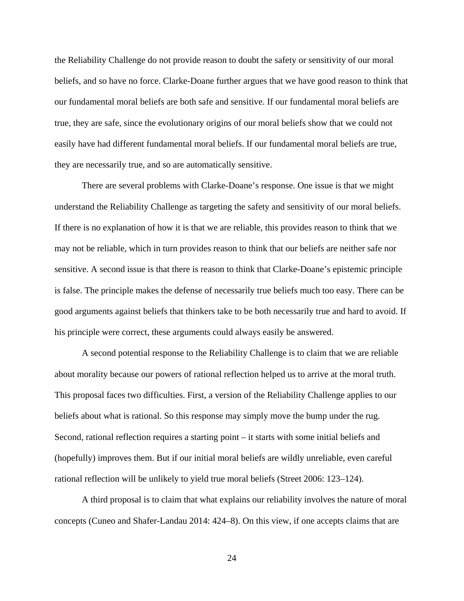the Reliability Challenge do not provide reason to doubt the safety or sensitivity of our moral beliefs, and so have no force. Clarke-Doane further argues that we have good reason to think that our fundamental moral beliefs are both safe and sensitive. If our fundamental moral beliefs are true, they are safe, since the evolutionary origins of our moral beliefs show that we could not easily have had different fundamental moral beliefs. If our fundamental moral beliefs are true, they are necessarily true, and so are automatically sensitive.

There are several problems with Clarke-Doane's response. One issue is that we might understand the Reliability Challenge as targeting the safety and sensitivity of our moral beliefs. If there is no explanation of how it is that we are reliable, this provides reason to think that we may not be reliable, which in turn provides reason to think that our beliefs are neither safe nor sensitive. A second issue is that there is reason to think that Clarke-Doane's epistemic principle is false. The principle makes the defense of necessarily true beliefs much too easy. There can be good arguments against beliefs that thinkers take to be both necessarily true and hard to avoid. If his principle were correct, these arguments could always easily be answered.

A second potential response to the Reliability Challenge is to claim that we are reliable about morality because our powers of rational reflection helped us to arrive at the moral truth. This proposal faces two difficulties. First, a version of the Reliability Challenge applies to our beliefs about what is rational. So this response may simply move the bump under the rug. Second, rational reflection requires a starting point – it starts with some initial beliefs and (hopefully) improves them. But if our initial moral beliefs are wildly unreliable, even careful rational reflection will be unlikely to yield true moral beliefs (Street 2006: 123–124).

A third proposal is to claim that what explains our reliability involves the nature of moral concepts (Cuneo and Shafer-Landau 2014: 424–8). On this view, if one accepts claims that are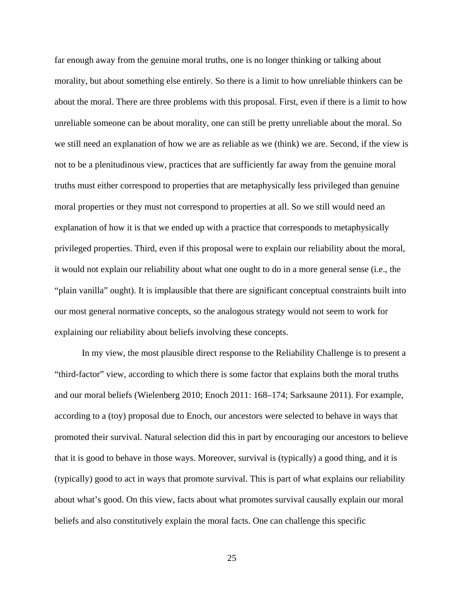far enough away from the genuine moral truths, one is no longer thinking or talking about morality, but about something else entirely. So there is a limit to how unreliable thinkers can be about the moral. There are three problems with this proposal. First, even if there is a limit to how unreliable someone can be about morality, one can still be pretty unreliable about the moral. So we still need an explanation of how we are as reliable as we (think) we are. Second, if the view is not to be a plenitudinous view, practices that are sufficiently far away from the genuine moral truths must either correspond to properties that are metaphysically less privileged than genuine moral properties or they must not correspond to properties at all. So we still would need an explanation of how it is that we ended up with a practice that corresponds to metaphysically privileged properties. Third, even if this proposal were to explain our reliability about the moral, it would not explain our reliability about what one ought to do in a more general sense (i.e., the "plain vanilla" ought). It is implausible that there are significant conceptual constraints built into our most general normative concepts, so the analogous strategy would not seem to work for explaining our reliability about beliefs involving these concepts.

In my view, the most plausible direct response to the Reliability Challenge is to present a "third-factor" view, according to which there is some factor that explains both the moral truths and our moral beliefs (Wielenberg 2010; Enoch 2011: 168–174; Sarksaune 2011). For example, according to a (toy) proposal due to Enoch, our ancestors were selected to behave in ways that promoted their survival. Natural selection did this in part by encouraging our ancestors to believe that it is good to behave in those ways. Moreover, survival is (typically) a good thing, and it is (typically) good to act in ways that promote survival. This is part of what explains our reliability about what's good. On this view, facts about what promotes survival causally explain our moral beliefs and also constitutively explain the moral facts. One can challenge this specific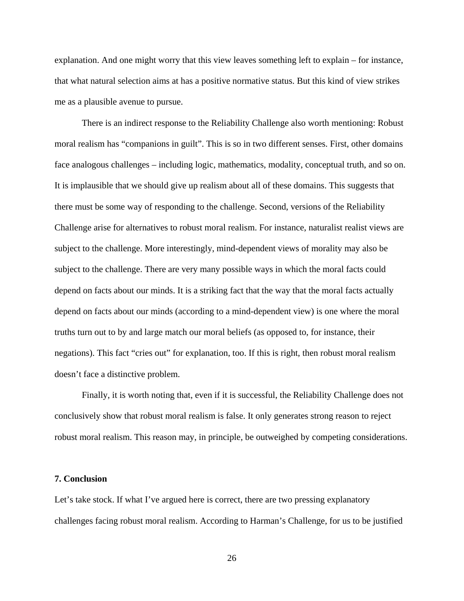explanation. And one might worry that this view leaves something left to explain – for instance, that what natural selection aims at has a positive normative status. But this kind of view strikes me as a plausible avenue to pursue.

There is an indirect response to the Reliability Challenge also worth mentioning: Robust moral realism has "companions in guilt". This is so in two different senses. First, other domains face analogous challenges – including logic, mathematics, modality, conceptual truth, and so on. It is implausible that we should give up realism about all of these domains. This suggests that there must be some way of responding to the challenge. Second, versions of the Reliability Challenge arise for alternatives to robust moral realism. For instance, naturalist realist views are subject to the challenge. More interestingly, mind-dependent views of morality may also be subject to the challenge. There are very many possible ways in which the moral facts could depend on facts about our minds. It is a striking fact that the way that the moral facts actually depend on facts about our minds (according to a mind-dependent view) is one where the moral truths turn out to by and large match our moral beliefs (as opposed to, for instance, their negations). This fact "cries out" for explanation, too. If this is right, then robust moral realism doesn't face a distinctive problem.

Finally, it is worth noting that, even if it is successful, the Reliability Challenge does not conclusively show that robust moral realism is false. It only generates strong reason to reject robust moral realism. This reason may, in principle, be outweighed by competing considerations.

#### **7. Conclusion**

Let's take stock. If what I've argued here is correct, there are two pressing explanatory challenges facing robust moral realism. According to Harman's Challenge, for us to be justified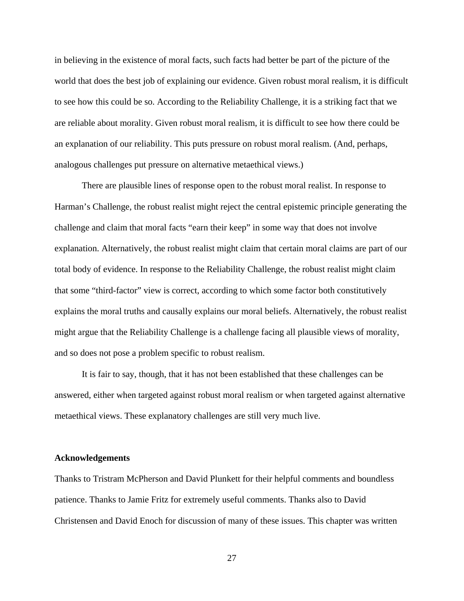in believing in the existence of moral facts, such facts had better be part of the picture of the world that does the best job of explaining our evidence. Given robust moral realism, it is difficult to see how this could be so. According to the Reliability Challenge, it is a striking fact that we are reliable about morality. Given robust moral realism, it is difficult to see how there could be an explanation of our reliability. This puts pressure on robust moral realism. (And, perhaps, analogous challenges put pressure on alternative metaethical views.)

 There are plausible lines of response open to the robust moral realist. In response to Harman's Challenge, the robust realist might reject the central epistemic principle generating the challenge and claim that moral facts "earn their keep" in some way that does not involve explanation. Alternatively, the robust realist might claim that certain moral claims are part of our total body of evidence. In response to the Reliability Challenge, the robust realist might claim that some "third-factor" view is correct, according to which some factor both constitutively explains the moral truths and causally explains our moral beliefs. Alternatively, the robust realist might argue that the Reliability Challenge is a challenge facing all plausible views of morality, and so does not pose a problem specific to robust realism.

It is fair to say, though, that it has not been established that these challenges can be answered, either when targeted against robust moral realism or when targeted against alternative metaethical views. These explanatory challenges are still very much live.

#### **Acknowledgements**

Thanks to Tristram McPherson and David Plunkett for their helpful comments and boundless patience. Thanks to Jamie Fritz for extremely useful comments. Thanks also to David Christensen and David Enoch for discussion of many of these issues. This chapter was written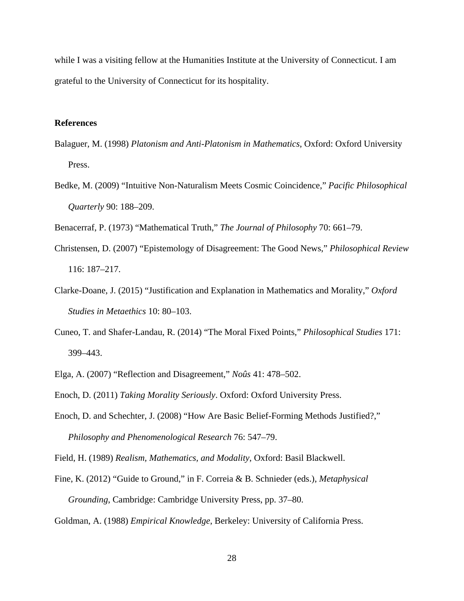while I was a visiting fellow at the Humanities Institute at the University of Connecticut. I am grateful to the University of Connecticut for its hospitality.

# **References**

- Balaguer, M. (1998) *Platonism and Anti-Platonism in Mathematics*, Oxford: Oxford University Press.
- Bedke, M. (2009) "Intuitive Non-Naturalism Meets Cosmic Coincidence," *Pacific Philosophical Quarterly* 90: 188–209.
- Benacerraf, P. (1973) "Mathematical Truth," *The Journal of Philosophy* 70: 661–79.
- Christensen, D. (2007) "Epistemology of Disagreement: The Good News," *Philosophical Review* 116: 187–217.
- Clarke-Doane, J. (2015) "Justification and Explanation in Mathematics and Morality," *Oxford Studies in Metaethics* 10: 80–103.
- Cuneo, T. and Shafer-Landau, R. (2014) "The Moral Fixed Points," *Philosophical Studies* 171: 399–443.
- Elga, A. (2007) "Reflection and Disagreement," *Noûs* 41: 478–502.
- Enoch, D. (2011) *Taking Morality Seriously*. Oxford: Oxford University Press.
- Enoch, D. and Schechter, J. (2008) "How Are Basic Belief-Forming Methods Justified?," *Philosophy and Phenomenological Research* 76: 547–79.

Field, H. (1989) *Realism, Mathematics, and Modality*, Oxford: Basil Blackwell.

Fine, K. (2012) "Guide to Ground," in F. Correia & B. Schnieder (eds.), *Metaphysical Grounding*, Cambridge: Cambridge University Press, pp. 37–80.

Goldman, A. (1988) *Empirical Knowledge*, Berkeley: University of California Press.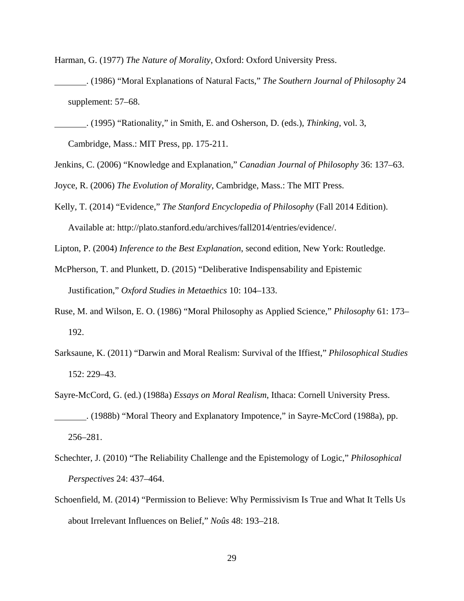Harman, G. (1977) *The Nature of Morality*, Oxford: Oxford University Press.

 . (1986) "Moral Explanations of Natural Facts," *The Southern Journal of Philosophy* 24 supplement: 57–68.

. (1995) "Rationality," in Smith, E. and Osherson, D. (eds.), *Thinking*, vol. 3,

Cambridge, Mass.: MIT Press, pp. 175-211.

Jenkins, C. (2006) "Knowledge and Explanation," *Canadian Journal of Philosophy* 36: 137–63.

Joyce, R. (2006) *The Evolution of Morality*, Cambridge, Mass.: The MIT Press.

Kelly, T. (2014) "Evidence," *The Stanford Encyclopedia of Philosophy* (Fall 2014 Edition). Available at: http://plato.stanford.edu/archives/fall2014/entries/evidence/.

Lipton, P. (2004) *Inference to the Best Explanation*, second edition, New York: Routledge.

McPherson, T. and Plunkett, D. (2015) "Deliberative Indispensability and Epistemic Justification," *Oxford Studies in Metaethics* 10: 104–133.

- Ruse, M. and Wilson, E. O. (1986) "Moral Philosophy as Applied Science," *Philosophy* 61: 173– 192.
- Sarksaune, K. (2011) "Darwin and Moral Realism: Survival of the Iffiest," *Philosophical Studies*  152: 229–43.

Sayre-McCord, G. (ed.) (1988a) *Essays on Moral Realism*, Ithaca: Cornell University Press. . (1988b) "Moral Theory and Explanatory Impotence," in Sayre-McCord (1988a), pp. 256–281.

- Schechter, J. (2010) "The Reliability Challenge and the Epistemology of Logic," *Philosophical Perspectives* 24: 437–464.
- Schoenfield, M. (2014) "Permission to Believe: Why Permissivism Is True and What It Tells Us about Irrelevant Influences on Belief," *Noûs* 48: 193–218.